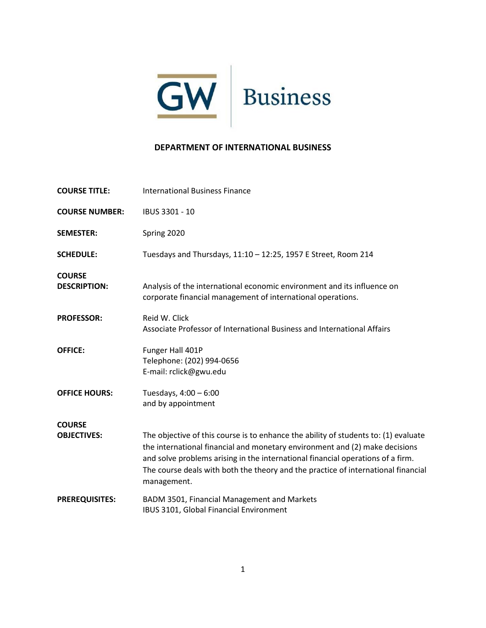

## **DEPARTMENT OF INTERNATIONAL BUSINESS**

| <b>COURSE TITLE:</b>                 | <b>International Business Finance</b>                                                                                                                                                                                                                                                                                                                     |
|--------------------------------------|-----------------------------------------------------------------------------------------------------------------------------------------------------------------------------------------------------------------------------------------------------------------------------------------------------------------------------------------------------------|
| <b>COURSE NUMBER:</b>                | IBUS 3301 - 10                                                                                                                                                                                                                                                                                                                                            |
| <b>SEMESTER:</b>                     | Spring 2020                                                                                                                                                                                                                                                                                                                                               |
| <b>SCHEDULE:</b>                     | Tuesdays and Thursdays, 11:10 - 12:25, 1957 E Street, Room 214                                                                                                                                                                                                                                                                                            |
| <b>COURSE</b><br><b>DESCRIPTION:</b> | Analysis of the international economic environment and its influence on<br>corporate financial management of international operations.                                                                                                                                                                                                                    |
| <b>PROFESSOR:</b>                    | Reid W. Click<br>Associate Professor of International Business and International Affairs                                                                                                                                                                                                                                                                  |
| <b>OFFICE:</b>                       | Funger Hall 401P<br>Telephone: (202) 994-0656<br>E-mail: rclick@gwu.edu                                                                                                                                                                                                                                                                                   |
| <b>OFFICE HOURS:</b>                 | Tuesdays, 4:00 - 6:00<br>and by appointment                                                                                                                                                                                                                                                                                                               |
| <b>COURSE</b>                        |                                                                                                                                                                                                                                                                                                                                                           |
| <b>OBJECTIVES:</b>                   | The objective of this course is to enhance the ability of students to: (1) evaluate<br>the international financial and monetary environment and (2) make decisions<br>and solve problems arising in the international financial operations of a firm.<br>The course deals with both the theory and the practice of international financial<br>management. |
| <b>PREREQUISITES:</b>                | BADM 3501, Financial Management and Markets<br>IBUS 3101, Global Financial Environment                                                                                                                                                                                                                                                                    |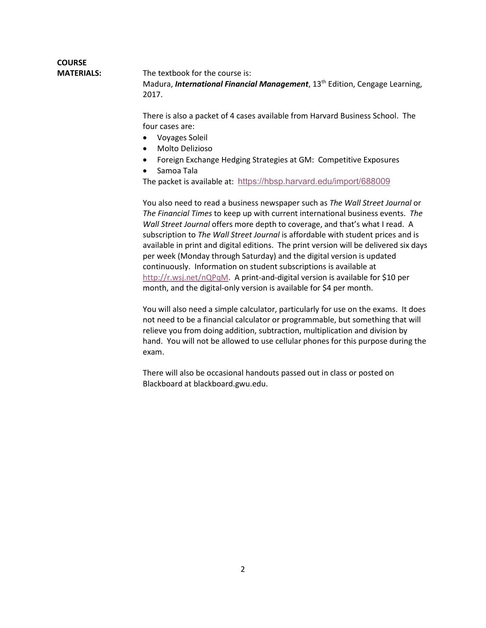## **COURSE MATERIALS:** The textbook for the course is: Madura, *International Financial Management*, 13th Edition, Cengage Learning, 2017.

There is also a packet of 4 cases available from Harvard Business School. The four cases are:

- Voyages Soleil
- Molto Delizioso
- Foreign Exchange Hedging Strategies at GM: Competitive Exposures
- Samoa Tala

The packet is available at: <https://hbsp.harvard.edu/import/688009>

You also need to read a business newspaper such as *The Wall Street Journal* or *The Financial Times* to keep up with current international business events. *The Wall Street Journal* offers more depth to coverage, and that's what I read. A subscription to *The Wall Street Journal* is affordable with student prices and is available in print and digital editions. The print version will be delivered six days per week (Monday through Saturday) and the digital version is updated continuously. Information on student subscriptions is available at [http://r.wsj.net/nQPqM.](http://r.wsj.net/nQPqM) A print-and-digital version is available for \$10 per month, and the digital-only version is available for \$4 per month.

You will also need a simple calculator, particularly for use on the exams. It does not need to be a financial calculator or programmable, but something that will relieve you from doing addition, subtraction, multiplication and division by hand. You will not be allowed to use cellular phones for this purpose during the exam.

There will also be occasional handouts passed out in class or posted on Blackboard at blackboard.gwu.edu.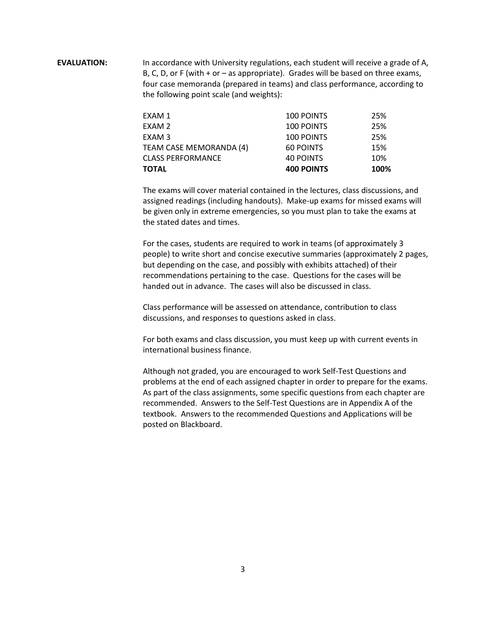**EVALUATION:** In accordance with University regulations, each student will receive a grade of A, B, C, D, or F (with  $+$  or  $-$  as appropriate). Grades will be based on three exams, four case memoranda (prepared in teams) and class performance, according to the following point scale (and weights):

| <b>TOTAL</b>             | <b>400 POINTS</b> | 100% |
|--------------------------|-------------------|------|
| <b>CLASS PERFORMANCE</b> | <b>40 POINTS</b>  | 10%  |
| TEAM CASE MEMORANDA (4)  | 60 POINTS         | 15%  |
| EXAM <sub>3</sub>        | 100 POINTS        | 25%  |
| EXAM 2                   | <b>100 POINTS</b> | 25%  |
| EXAM 1                   | <b>100 POINTS</b> | 25%  |

The exams will cover material contained in the lectures, class discussions, and assigned readings (including handouts). Make-up exams for missed exams will be given only in extreme emergencies, so you must plan to take the exams at the stated dates and times.

For the cases, students are required to work in teams (of approximately 3 people) to write short and concise executive summaries (approximately 2 pages, but depending on the case, and possibly with exhibits attached) of their recommendations pertaining to the case. Questions for the cases will be handed out in advance. The cases will also be discussed in class.

Class performance will be assessed on attendance, contribution to class discussions, and responses to questions asked in class.

For both exams and class discussion, you must keep up with current events in international business finance.

Although not graded, you are encouraged to work Self-Test Questions and problems at the end of each assigned chapter in order to prepare for the exams. As part of the class assignments, some specific questions from each chapter are recommended. Answers to the Self-Test Questions are in Appendix A of the textbook. Answers to the recommended Questions and Applications will be posted on Blackboard.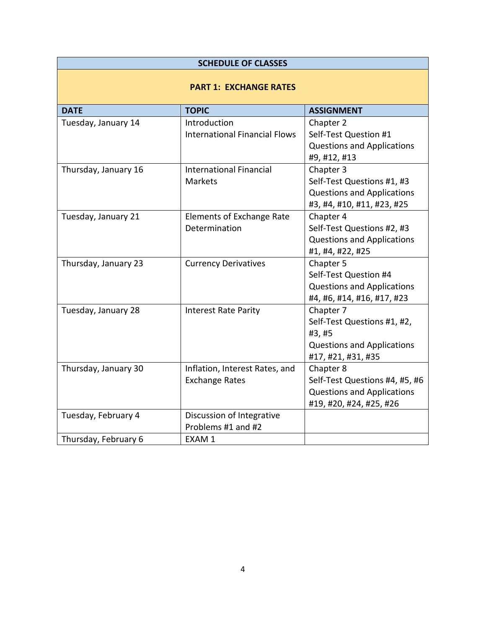| <b>SCHEDULE OF CLASSES</b>    |                                                         |                                                                                                               |  |  |  |
|-------------------------------|---------------------------------------------------------|---------------------------------------------------------------------------------------------------------------|--|--|--|
| <b>PART 1: EXCHANGE RATES</b> |                                                         |                                                                                                               |  |  |  |
| <b>DATE</b>                   | <b>TOPIC</b>                                            | <b>ASSIGNMENT</b>                                                                                             |  |  |  |
| Tuesday, January 14           | Introduction<br><b>International Financial Flows</b>    | Chapter 2<br>Self-Test Question #1<br><b>Questions and Applications</b><br>#9, #12, #13                       |  |  |  |
| Thursday, January 16          | <b>International Financial</b><br><b>Markets</b>        | Chapter 3<br>Self-Test Questions #1, #3<br><b>Questions and Applications</b><br>#3, #4, #10, #11, #23, #25    |  |  |  |
| Tuesday, January 21           | Elements of Exchange Rate<br>Determination              | Chapter 4<br>Self-Test Questions #2, #3<br><b>Questions and Applications</b><br>#1, #4, #22, #25              |  |  |  |
| Thursday, January 23          | <b>Currency Derivatives</b>                             | Chapter 5<br>Self-Test Question #4<br><b>Questions and Applications</b><br>#4, #6, #14, #16, #17, #23         |  |  |  |
| Tuesday, January 28           | <b>Interest Rate Parity</b>                             | Chapter 7<br>Self-Test Questions #1, #2,<br>#3, #5<br><b>Questions and Applications</b><br>#17, #21, #31, #35 |  |  |  |
| Thursday, January 30          | Inflation, Interest Rates, and<br><b>Exchange Rates</b> | Chapter 8<br>Self-Test Questions #4, #5, #6<br><b>Questions and Applications</b><br>#19, #20, #24, #25, #26   |  |  |  |
| Tuesday, February 4           | Discussion of Integrative<br>Problems #1 and #2         |                                                                                                               |  |  |  |
| Thursday, February 6          | EXAM 1                                                  |                                                                                                               |  |  |  |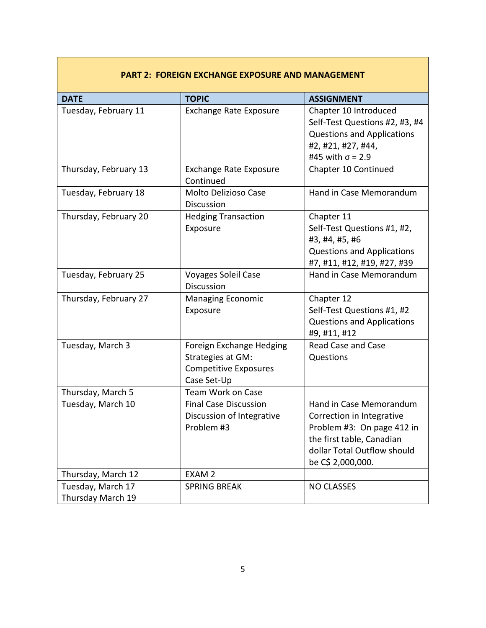## **DATE TOPIC ASSIGNMENT** Tuesday, February 11 Fxchange Rate Exposure | Chapter 10 Introduced Self-Test Questions #2, #3, #4 Questions and Applications #2, #21, #27, #44, #45 with σ = 2.9 Thursday, February 13 Exchange Rate Exposure Continued Chapter 10 Continued Tuesday, February 18 Molto Delizioso Case **Discussion** Hand in Case Memorandum Thursday, February 20 Hedging Transaction Exposure Chapter 11 Self-Test Questions #1, #2, #3, #4, #5, #6 Questions and Applications #7, #11, #12, #19, #27, #39 Tuesday, February 25 Voyages Soleil Case Discussion Hand in Case Memorandum Thursday, February 27 Managing Economic Exposure Chapter 12 Self-Test Questions #1, #2 Questions and Applications #9, #11, #12 Tuesday, March 3 Foreign Exchange Hedging Strategies at GM: Competitive Exposures Case Set-Up Read Case and Case Questions Thursday, March 5 Team Work on Case Tuesday, March 10 | Final Case Discussion Discussion of Integrative Problem #3 Hand in Case Memorandum Correction in Integrative Problem #3: On page 412 in the first table, Canadian dollar Total Outflow should be C\$ 2,000,000. Thursday, March 12 EXAM 2 Tuesday, March 17 Thursday March 19 SPRING BREAK NO CLASSES

## **PART 2: FOREIGN EXCHANGE EXPOSURE AND MANAGEMENT**